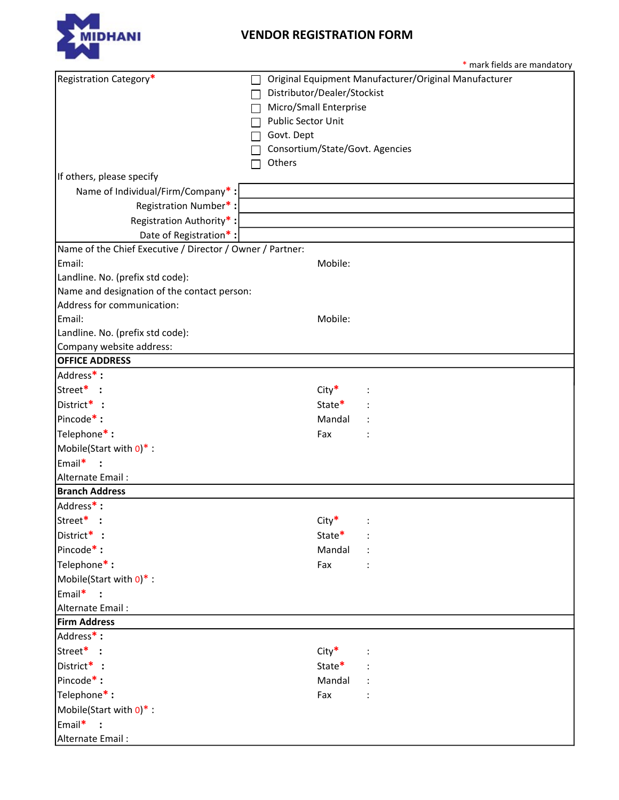

## VENDOR REGISTRATION FORM

|                                                           | * mark fields are mandatory                           |  |
|-----------------------------------------------------------|-------------------------------------------------------|--|
| Registration Category*                                    | Original Equipment Manufacturer/Original Manufacturer |  |
|                                                           | Distributor/Dealer/Stockist                           |  |
|                                                           | Micro/Small Enterprise                                |  |
|                                                           | Public Sector Unit                                    |  |
|                                                           | Govt. Dept                                            |  |
|                                                           | Consortium/State/Govt. Agencies                       |  |
|                                                           | Others                                                |  |
| If others, please specify                                 |                                                       |  |
| Name of Individual/Firm/Company*:                         |                                                       |  |
| Registration Number*:                                     |                                                       |  |
| Registration Authority*:                                  |                                                       |  |
| Date of Registration*:                                    |                                                       |  |
| Name of the Chief Executive / Director / Owner / Partner: |                                                       |  |
| Email:                                                    | Mobile:                                               |  |
| Landline. No. (prefix std code):                          |                                                       |  |
| Name and designation of the contact person:               |                                                       |  |
| Address for communication:                                |                                                       |  |
| Email:                                                    | Mobile:                                               |  |
| Landline. No. (prefix std code):                          |                                                       |  |
| Company website address:                                  |                                                       |  |
| <b>OFFICE ADDRESS</b>                                     |                                                       |  |
| Address*:                                                 |                                                       |  |
| Street* :                                                 | $City*$                                               |  |
| District* :                                               | State*                                                |  |
| Pincode <sup>*</sup> :                                    | Mandal                                                |  |
| Telephone*:                                               | Fax                                                   |  |
| Mobile(Start with $0$ )* :                                |                                                       |  |
| Email*                                                    |                                                       |  |
| Alternate Email:                                          |                                                       |  |
| <b>Branch Address</b>                                     |                                                       |  |
| Address*:                                                 |                                                       |  |
| Street <sup>*</sup> :                                     | $City*$                                               |  |
| District* :                                               | State*                                                |  |
| Pincode <sup>*</sup> :                                    | Mandal                                                |  |
| Telephone*:                                               | Fax                                                   |  |
| Mobile(Start with $0$ )* :                                |                                                       |  |
| Email* :                                                  |                                                       |  |
| Alternate Email:                                          |                                                       |  |
| <b>Firm Address</b>                                       |                                                       |  |
| Address*:                                                 |                                                       |  |
| Street* :                                                 | $City*$                                               |  |
| District* :                                               | State*                                                |  |
| Pincode <sup>*</sup> :                                    | Mandal                                                |  |
| Telephone*:                                               | Fax                                                   |  |
| Mobile(Start with $0$ )* :                                |                                                       |  |
| Email*                                                    |                                                       |  |
| Alternate Email:                                          |                                                       |  |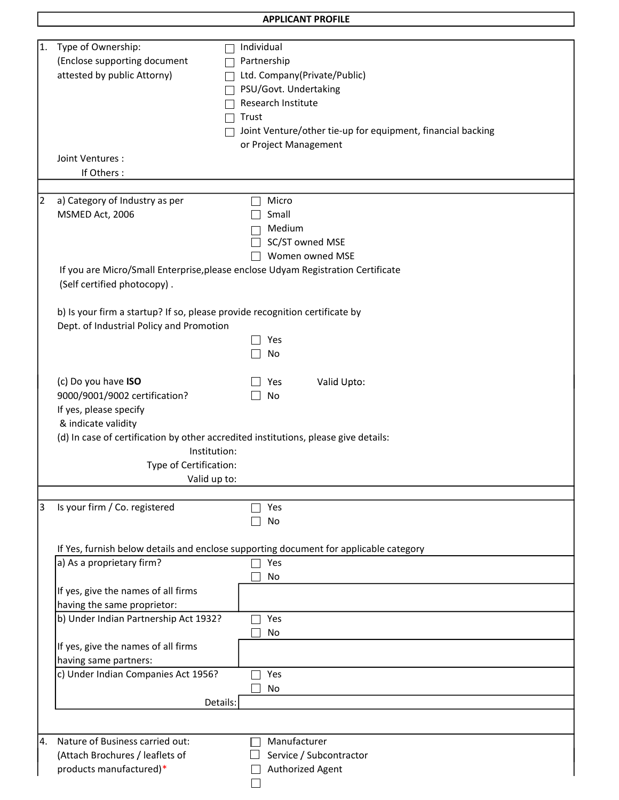| <b>APPLICANT PROFILE</b> |  |
|--------------------------|--|
|--------------------------|--|

| 1. | Type of Ownership:                                                                    | Individual                                                  |
|----|---------------------------------------------------------------------------------------|-------------------------------------------------------------|
|    | (Enclose supporting document                                                          | Partnership                                                 |
|    | attested by public Attorny)                                                           | Ltd. Company(Private/Public)                                |
|    |                                                                                       | PSU/Govt. Undertaking                                       |
|    |                                                                                       |                                                             |
|    |                                                                                       | Research Institute                                          |
|    |                                                                                       | Trust                                                       |
|    |                                                                                       | Joint Venture/other tie-up for equipment, financial backing |
|    |                                                                                       | or Project Management                                       |
|    | Joint Ventures :                                                                      |                                                             |
|    |                                                                                       |                                                             |
|    | If Others:                                                                            |                                                             |
|    |                                                                                       |                                                             |
| 2  | a) Category of Industry as per                                                        | Micro                                                       |
|    | MSMED Act, 2006                                                                       | Small                                                       |
|    |                                                                                       | Medium                                                      |
|    |                                                                                       | SC/ST owned MSE                                             |
|    |                                                                                       | Women owned MSE                                             |
|    |                                                                                       |                                                             |
|    | If you are Micro/Small Enterprise, please enclose Udyam Registration Certificate      |                                                             |
|    | (Self certified photocopy).                                                           |                                                             |
|    |                                                                                       |                                                             |
|    | b) Is your firm a startup? If so, please provide recognition certificate by           |                                                             |
|    | Dept. of Industrial Policy and Promotion                                              |                                                             |
|    |                                                                                       | Yes                                                         |
|    |                                                                                       | No                                                          |
|    |                                                                                       |                                                             |
|    |                                                                                       |                                                             |
|    | (c) Do you have ISO                                                                   | Valid Upto:<br>Yes                                          |
|    | 9000/9001/9002 certification?                                                         | No                                                          |
|    | If yes, please specify                                                                |                                                             |
|    | & indicate validity                                                                   |                                                             |
|    | (d) In case of certification by other accredited institutions, please give details:   |                                                             |
|    | Institution:                                                                          |                                                             |
|    |                                                                                       |                                                             |
|    | Type of Certification:                                                                |                                                             |
|    | Valid up to:                                                                          |                                                             |
|    |                                                                                       |                                                             |
| 3  | Is your firm / Co. registered                                                         | Yes                                                         |
|    |                                                                                       | No                                                          |
|    |                                                                                       |                                                             |
|    | If Yes, furnish below details and enclose supporting document for applicable category |                                                             |
|    | a) As a proprietary firm?                                                             | Yes                                                         |
|    |                                                                                       | No                                                          |
|    |                                                                                       |                                                             |
|    | If yes, give the names of all firms                                                   |                                                             |
|    | having the same proprietor:                                                           |                                                             |
|    | b) Under Indian Partnership Act 1932?                                                 | Yes                                                         |
|    |                                                                                       | No                                                          |
|    | If yes, give the names of all firms                                                   |                                                             |
|    | having same partners:                                                                 |                                                             |
|    | c) Under Indian Companies Act 1956?                                                   | Yes                                                         |
|    |                                                                                       |                                                             |
|    |                                                                                       | No                                                          |
|    | Details:                                                                              |                                                             |
|    |                                                                                       |                                                             |
| 4. | Nature of Business carried out:                                                       | Manufacturer                                                |
|    |                                                                                       |                                                             |
|    | (Attach Brochures / leaflets of                                                       | Service / Subcontractor                                     |
|    | products manufactured)*                                                               | Authorized Agent                                            |
|    |                                                                                       |                                                             |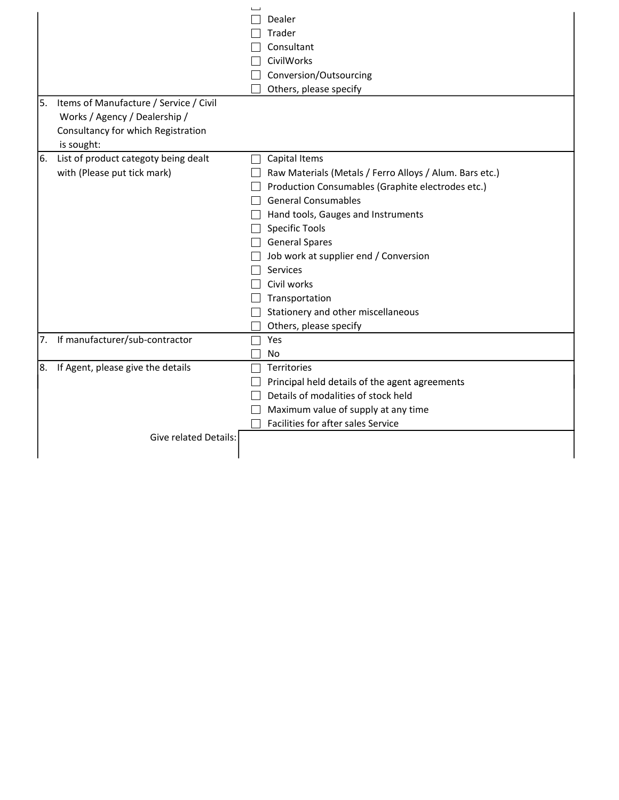| 5. | Items of Manufacture / Service / Civil<br>Works / Agency / Dealership / |              | Dealer<br>Trader<br>Consultant<br>CivilWorks<br>Conversion/Outsourcing<br>Others, please specify                                                                                                                                                                                                                                                                                                   |
|----|-------------------------------------------------------------------------|--------------|----------------------------------------------------------------------------------------------------------------------------------------------------------------------------------------------------------------------------------------------------------------------------------------------------------------------------------------------------------------------------------------------------|
|    | Consultancy for which Registration<br>is sought:                        |              |                                                                                                                                                                                                                                                                                                                                                                                                    |
| 6. | List of product categoty being dealt<br>with (Please put tick mark)     | $\mathbf{1}$ | Capital Items<br>Raw Materials (Metals / Ferro Alloys / Alum. Bars etc.)<br>Production Consumables (Graphite electrodes etc.)<br><b>General Consumables</b><br>Hand tools, Gauges and Instruments<br><b>Specific Tools</b><br>General Spares<br>Job work at supplier end / Conversion<br>Services<br>Civil works<br>Transportation<br>Stationery and other miscellaneous<br>Others, please specify |
|    | 7. If manufacturer/sub-contractor                                       |              | Yes<br>No                                                                                                                                                                                                                                                                                                                                                                                          |
| 8. | If Agent, please give the details<br>Give related Details:              |              | Territories<br>Principal held details of the agent agreements<br>Details of modalities of stock held<br>Maximum value of supply at any time<br>Facilities for after sales Service                                                                                                                                                                                                                  |
|    |                                                                         |              |                                                                                                                                                                                                                                                                                                                                                                                                    |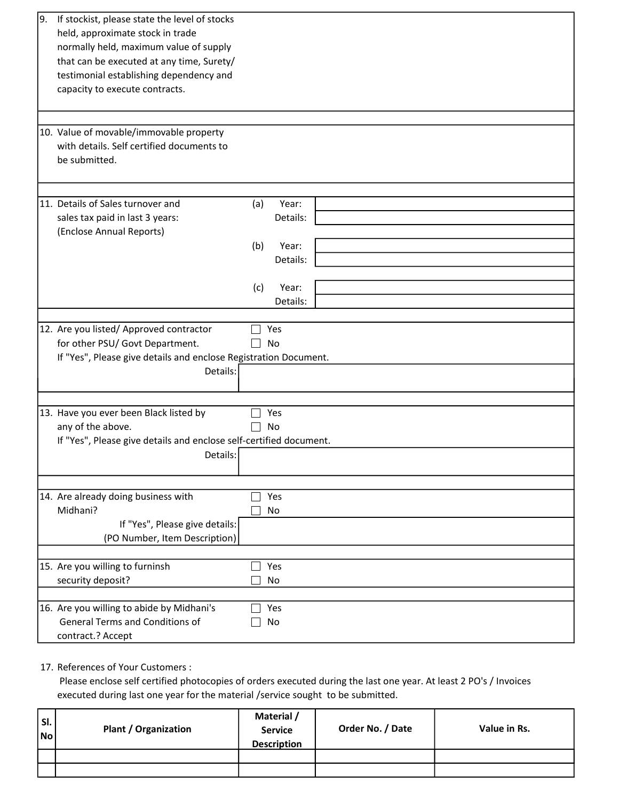| If stockist, please state the level of stocks<br>19.<br>held, approximate stock in trade<br>normally held, maximum value of supply<br>that can be executed at any time, Surety/<br>testimonial establishing dependency and<br>capacity to execute contracts.<br>10. Value of movable/immovable property |                                                      |
|---------------------------------------------------------------------------------------------------------------------------------------------------------------------------------------------------------------------------------------------------------------------------------------------------------|------------------------------------------------------|
| with details. Self certified documents to<br>be submitted.                                                                                                                                                                                                                                              |                                                      |
| 11. Details of Sales turnover and<br>sales tax paid in last 3 years:<br>(Enclose Annual Reports)                                                                                                                                                                                                        | (a)<br>Year:<br>Details:<br>Year:<br>(b)<br>Details: |
|                                                                                                                                                                                                                                                                                                         | (c)<br>Year:<br>Details:                             |
| 12. Are you listed/ Approved contractor<br>for other PSU/ Govt Department.<br>If "Yes", Please give details and enclose Registration Document.<br>Details:                                                                                                                                              | Yes<br>No                                            |
| 13. Have you ever been Black listed by<br>any of the above.<br>If "Yes", Please give details and enclose self-certified document.<br>Details:                                                                                                                                                           | Yes<br>No                                            |
| 14. Are already doing business with<br>Midhani?<br>If "Yes", Please give details:<br>(PO Number, Item Description)                                                                                                                                                                                      | Yes<br>No                                            |
| 15. Are you willing to furninsh<br>security deposit?                                                                                                                                                                                                                                                    | Yes<br>No                                            |
| 16. Are you willing to abide by Midhani's<br><b>General Terms and Conditions of</b><br>contract.? Accept                                                                                                                                                                                                | Yes<br>No                                            |

17. References of Your Customers :

 Please enclose self certified photocopies of orders executed during the last one year. At least 2 PO's / Invoices executed during last one year for the material /service sought to be submitted.

| l sı.<br> No | <b>Plant / Organization</b> | Material /<br><b>Service</b><br><b>Description</b> | Order No. / Date | Value in Rs. |
|--------------|-----------------------------|----------------------------------------------------|------------------|--------------|
|              |                             |                                                    |                  |              |
|              |                             |                                                    |                  |              |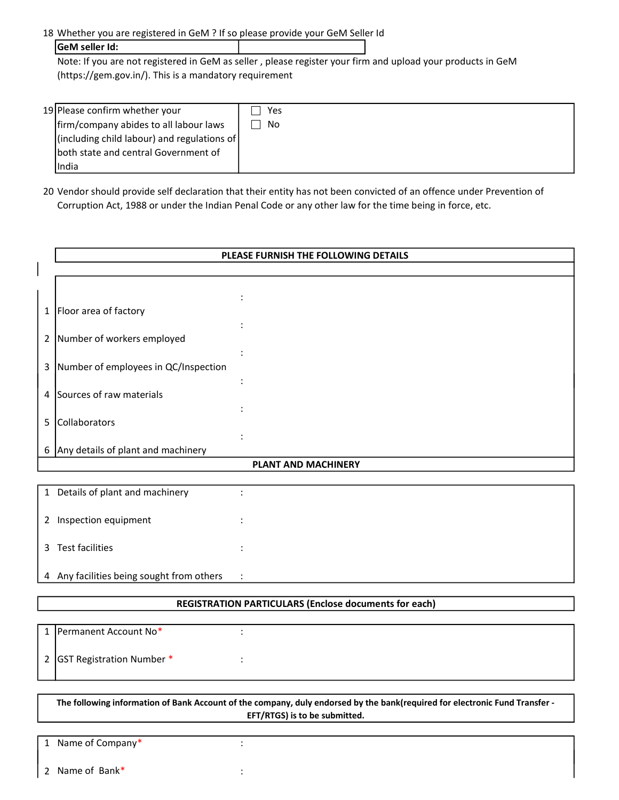18 Whether you are registered in GeM ? If so please provide your GeM Seller Id

| GeM seller Id:                                                                                              |  |  |
|-------------------------------------------------------------------------------------------------------------|--|--|
| Note: If you are not registered in GeM as seller, please register your firm and upload your products in GeM |  |  |
| $(https://gem.gov.in/).$ This is a mandatory requirement                                                    |  |  |

| 19 Please confirm whether your              | Yes |  |
|---------------------------------------------|-----|--|
| firm/company abides to all labour laws      | No  |  |
| (including child labour) and regulations of |     |  |
| both state and central Government of        |     |  |
| India                                       |     |  |

20 Vendor should provide self declaration that their entity has not been convicted of an offence under Prevention of Corruption Act, 1988 or under the Indian Penal Code or any other law for the time being in force, etc.

|   |                                           | PLEASE FURNISH THE FOLLOWING DETAILS                  |
|---|-------------------------------------------|-------------------------------------------------------|
|   |                                           |                                                       |
|   |                                           |                                                       |
|   |                                           |                                                       |
|   | 1   Floor area of factory                 |                                                       |
|   | 2 Number of workers employed              |                                                       |
| 3 | Number of employees in QC/Inspection      |                                                       |
|   | 4 Sources of raw materials                |                                                       |
| 5 | Collaborators                             |                                                       |
|   | 6 Any details of plant and machinery      |                                                       |
|   |                                           | <b>PLANT AND MACHINERY</b>                            |
|   | 1 Details of plant and machinery          |                                                       |
|   | 2 Inspection equipment                    |                                                       |
|   | 3 Test facilities                         |                                                       |
|   | 4 Any facilities being sought from others | ÷                                                     |
|   |                                           | REGISTRATION PARTICULARS (Enclose documents for each) |
|   |                                           |                                                       |

| 1   Permanent Account No*   |  |
|-----------------------------|--|
| 2 GST Registration Number * |  |

| The following information of Bank Account of the company, duly endorsed by the bank(required for electronic Fund Transfer - |
|-----------------------------------------------------------------------------------------------------------------------------|
| EFT/RTGS) is to be submitted.                                                                                               |

1 Name of Company\* : : 2 Name of Bank\*  $\qquad \qquad$ :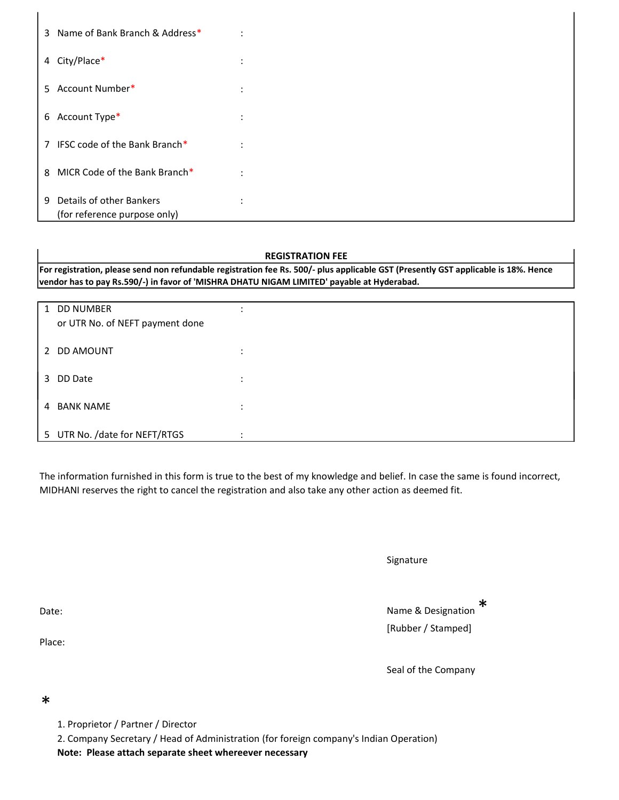| 3 Name of Bank Branch & Address*                              | $\ddot{\cdot}$ |
|---------------------------------------------------------------|----------------|
| 4 City/Place*                                                 | $\ddot{\cdot}$ |
| 5 Account Number*                                             | ÷              |
| 6 Account Type*                                               | ÷              |
| IFSC code of the Bank Branch*<br>$\overline{7}$               | ÷              |
| MICR Code of the Bank Branch*<br>8                            | ÷              |
| Details of other Bankers<br>9<br>(for reference purpose only) | $\ddot{\cdot}$ |

## REGISTRATION FEE

For registration, please send non refundable registration fee Rs. 500/- plus applicable GST (Presently GST applicable is 18%. Hence vendor has to pay Rs.590/-) in favor of 'MISHRA DHATU NIGAM LIMITED' payable at Hyderabad.

|   | 1 DD NUMBER<br>or UTR No. of NEFT payment done |                                   |
|---|------------------------------------------------|-----------------------------------|
|   | 2 DD AMOUNT                                    | ٠<br>$\bullet$                    |
| 3 | DD Date                                        | $\bullet$<br>$\ddot{\phantom{a}}$ |
| 4 | <b>BANK NAME</b>                               | $\bullet$<br>$\bullet$            |
|   | 5 UTR No. /date for NEFT/RTGS                  |                                   |

The information furnished in this form is true to the best of my knowledge and belief. In case the same is found incorrect, MIDHANI reserves the right to cancel the registration and also take any other action as deemed fit.

| Signature |
|-----------|
|-----------|

Date: Name & Designation \* [Rubber / Stamped]

Place:

Seal of the Company

\*

- 1. Proprietor / Partner / Director
- 2. Company Secretary / Head of Administration (for foreign company's Indian Operation)

Note: Please attach separate sheet whereever necessary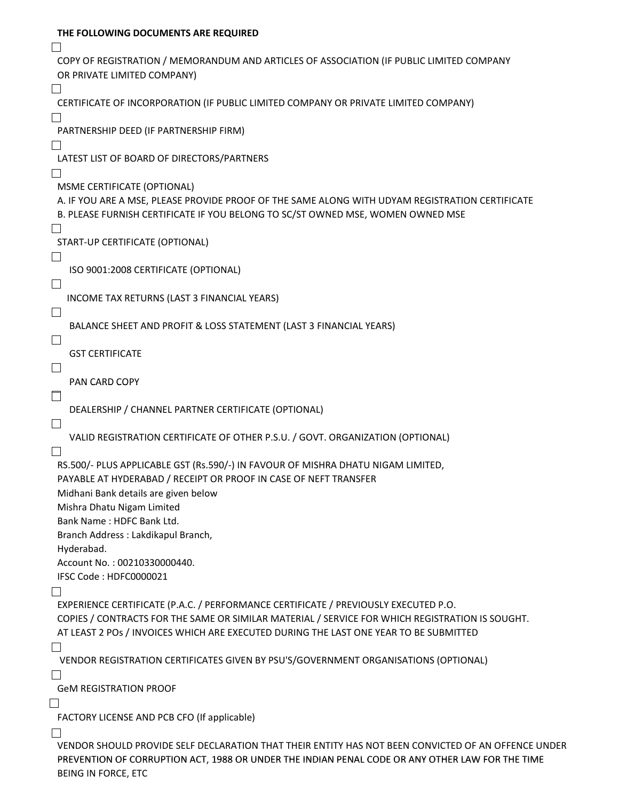| THE FOLLOWING DOCUMENTS ARE REQUIRED                                                                |
|-----------------------------------------------------------------------------------------------------|
| COPY OF REGISTRATION / MEMORANDUM AND ARTICLES OF ASSOCIATION (IF PUBLIC LIMITED COMPANY            |
| OR PRIVATE LIMITED COMPANY)                                                                         |
| CERTIFICATE OF INCORPORATION (IF PUBLIC LIMITED COMPANY OR PRIVATE LIMITED COMPANY)                 |
|                                                                                                     |
| PARTNERSHIP DEED (IF PARTNERSHIP FIRM)                                                              |
|                                                                                                     |
| LATEST LIST OF BOARD OF DIRECTORS/PARTNERS                                                          |
|                                                                                                     |
| MSME CERTIFICATE (OPTIONAL)                                                                         |
| A. IF YOU ARE A MSE, PLEASE PROVIDE PROOF OF THE SAME ALONG WITH UDYAM REGISTRATION CERTIFICATE     |
| B. PLEASE FURNISH CERTIFICATE IF YOU BELONG TO SC/ST OWNED MSE, WOMEN OWNED MSE                     |
| START-UP CERTIFICATE (OPTIONAL)                                                                     |
|                                                                                                     |
| ISO 9001:2008 CERTIFICATE (OPTIONAL)                                                                |
|                                                                                                     |
| INCOME TAX RETURNS (LAST 3 FINANCIAL YEARS)                                                         |
| $\overline{\phantom{a}}$                                                                            |
| BALANCE SHEET AND PROFIT & LOSS STATEMENT (LAST 3 FINANCIAL YEARS)                                  |
| ⊔                                                                                                   |
| <b>GST CERTIFICATE</b>                                                                              |
| $\Box$                                                                                              |
| PAN CARD COPY                                                                                       |
| $\Box$                                                                                              |
| DEALERSHIP / CHANNEL PARTNER CERTIFICATE (OPTIONAL)                                                 |
| $\Box$                                                                                              |
| VALID REGISTRATION CERTIFICATE OF OTHER P.S.U. / GOVT. ORGANIZATION (OPTIONAL)                      |
| RS.500/- PLUS APPLICABLE GST (Rs.590/-) IN FAVOUR OF MISHRA DHATU NIGAM LIMITED,                    |
| PAYABLE AT HYDERABAD / RECEIPT OR PROOF IN CASE OF NEFT TRANSFER                                    |
| Midhani Bank details are given below                                                                |
| Mishra Dhatu Nigam Limited                                                                          |
| Bank Name: HDFC Bank Ltd.                                                                           |
| Branch Address: Lakdikapul Branch,                                                                  |
| Hyderabad.                                                                                          |
| Account No.: 00210330000440.                                                                        |
| IFSC Code: HDFC0000021                                                                              |
| l 1                                                                                                 |
| EXPERIENCE CERTIFICATE (P.A.C. / PERFORMANCE CERTIFICATE / PREVIOUSLY EXECUTED P.O.                 |
| COPIES / CONTRACTS FOR THE SAME OR SIMILAR MATERIAL / SERVICE FOR WHICH REGISTRATION IS SOUGHT.     |
| AT LEAST 2 POS / INVOICES WHICH ARE EXECUTED DURING THE LAST ONE YEAR TO BE SUBMITTED               |
|                                                                                                     |
| VENDOR REGISTRATION CERTIFICATES GIVEN BY PSU'S/GOVERNMENT ORGANISATIONS (OPTIONAL)                 |
|                                                                                                     |
| <b>GeM REGISTRATION PROOF</b>                                                                       |
|                                                                                                     |
| FACTORY LICENSE AND PCB CFO (If applicable)                                                         |
| VENDOR SHOULD PROVIDE SELF DECLARATION THAT THEIR ENTITY HAS NOT BEEN CONVICTED OF AN OFFENCE UNDER |
| PREVENTION OF CORRUPTION ACT, 1988 OR UNDER THE INDIAN PENAL CODE OR ANY OTHER LAW FOR THE TIME     |
| BEING IN FORCE, ETC                                                                                 |